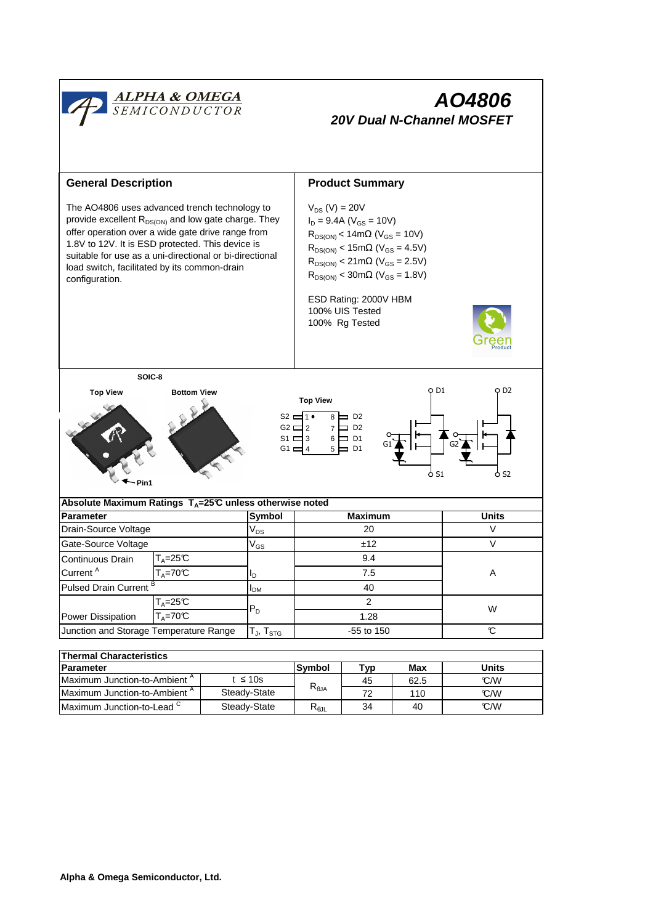

| <b>Parameter</b>                         |              | Svmbol                 | Typ | Max  | <b>Units</b> |  |  |  |  |
|------------------------------------------|--------------|------------------------|-----|------|--------------|--|--|--|--|
| Maximum Junction-to-Ambient "            | : ≤ 10s      | $R_{\theta$ JA         | 45  | 62.5 | C/M          |  |  |  |  |
| Maximum Junction-to-Ambient <sup>"</sup> | Steady-State |                        | 70  | 110  | C/M          |  |  |  |  |
| Maximum Junction-to-Lead $\degree$       | Steady-State | $R_{\theta \text{JL}}$ | 34  | 40   | C/W          |  |  |  |  |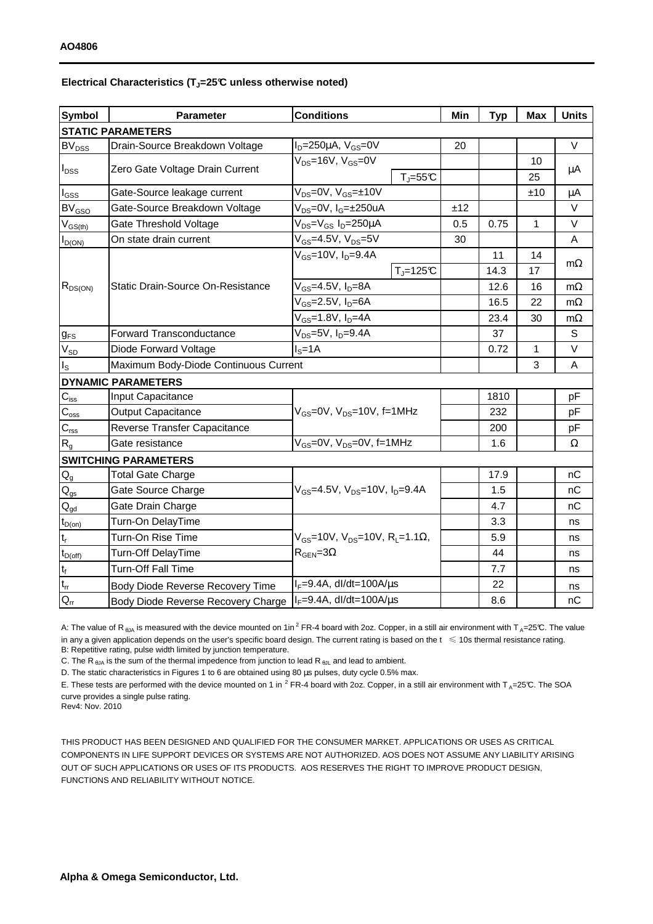## **Electrical Characteristics (TJ=25°C unless otherwise noted)**

| <b>Symbol</b>                          | <b>Conditions</b><br><b>Parameter</b>                                             |                                                        | Min | <b>Typ</b> | <b>Max</b> | <b>Units</b> |  |  |  |  |
|----------------------------------------|-----------------------------------------------------------------------------------|--------------------------------------------------------|-----|------------|------------|--------------|--|--|--|--|
| <b>STATIC PARAMETERS</b>               |                                                                                   |                                                        |     |            |            |              |  |  |  |  |
| <b>BV</b> <sub>DSS</sub>               | Drain-Source Breakdown Voltage                                                    | $I_D = 250 \mu A$ , $V_{GS} = 0V$                      | 20  |            |            | V            |  |  |  |  |
| <b>I</b> <sub>DSS</sub>                |                                                                                   | $\overline{V_{DS}}$ =16V, V <sub>GS</sub> =0V          |     |            | 10         |              |  |  |  |  |
|                                        | Zero Gate Voltage Drain Current                                                   | $T_J = 55C$                                            |     |            | 25         | μA           |  |  |  |  |
| $I_{\rm GSS}$                          | Gate-Source leakage current                                                       | $V_{DS} = 0V$ , $V_{GS} = \pm 10V$                     |     |            | ±10        | μA           |  |  |  |  |
| $BV_{GSO}$                             | Gate-Source Breakdown Voltage                                                     | V <sub>DS</sub> =0V, I <sub>G</sub> =±250uA            | ±12 |            |            | V            |  |  |  |  |
| $V_{GS(th)}$                           | Gate Threshold Voltage                                                            | V <sub>DS</sub> =V <sub>GS</sub> I <sub>D</sub> =250µA | 0.5 | 0.75       | 1          | V            |  |  |  |  |
| $I_{D(ON)}$                            | On state drain current                                                            | $V_{GS}$ =4.5V, $V_{DS}$ =5V                           | 30  |            |            | Α            |  |  |  |  |
| $R_{DS(ON)}$                           |                                                                                   | $V_{GS}$ =10V, $I_D$ =9.4A                             |     | 11         | 14         |              |  |  |  |  |
|                                        |                                                                                   | $T_J = 125C$                                           |     | 14.3       | 17         | $m\Omega$    |  |  |  |  |
|                                        | <b>Static Drain-Source On-Resistance</b>                                          | V <sub>GS</sub> =4.5V, I <sub>D</sub> =8A              |     | 12.6       | 16         | $m\Omega$    |  |  |  |  |
|                                        |                                                                                   | $V_{GS}$ =2.5V, $I_D$ =6A                              |     | 16.5       | 22         | $m\Omega$    |  |  |  |  |
|                                        |                                                                                   | $V_{GS} = 1.8 V, I_D = 4A$                             |     | 23.4       | 30         | $m\Omega$    |  |  |  |  |
| $g_{FS}$                               | $V_{DS} = 5V$ , $I_D = 9.4A$<br><b>Forward Transconductance</b>                   |                                                        |     | 37         |            | S            |  |  |  |  |
| $V_{SD}$                               | $IS=1A$<br>Diode Forward Voltage                                                  |                                                        |     | 0.72       | 1          | V            |  |  |  |  |
| $I_{\rm S}$                            | Maximum Body-Diode Continuous Current                                             |                                                        |     |            | 3          | A            |  |  |  |  |
|                                        | <b>DYNAMIC PARAMETERS</b>                                                         |                                                        |     |            |            |              |  |  |  |  |
| $C_{\text{iss}}$                       | Input Capacitance                                                                 |                                                        |     | 1810       |            | pF           |  |  |  |  |
| $C_{\text{oss}}$                       | <b>Output Capacitance</b>                                                         | $V_{GS}$ =0V, $V_{DS}$ =10V, f=1MHz                    |     | 232        |            | рF           |  |  |  |  |
| $C_{\rm rss}$                          | Reverse Transfer Capacitance                                                      |                                                        |     | 200        |            | рF           |  |  |  |  |
| R <sub>g</sub>                         | Gate resistance                                                                   | $V_{GS}$ =0V, $V_{DS}$ =0V, f=1MHz                     |     | 1.6        |            | Ω            |  |  |  |  |
|                                        | <b>SWITCHING PARAMETERS</b>                                                       |                                                        |     |            |            |              |  |  |  |  |
| $\mathsf{Q}_{\mathsf{g}}$              | <b>Total Gate Charge</b>                                                          |                                                        |     | 17.9       |            | nC           |  |  |  |  |
| $Q_{gs}$                               | Gate Source Charge                                                                | $V_{GS}$ =4.5V, $V_{DS}$ =10V, $I_{D}$ =9.4A           |     | 1.5        |            | nC           |  |  |  |  |
| $\mathsf{Q}_{\underline{\mathsf{gd}}}$ | Gate Drain Charge                                                                 |                                                        |     | 4.7        |            | nC           |  |  |  |  |
| $t_{D(0n)}$                            | Turn-On DelayTime                                                                 |                                                        |     | 3.3        |            | ns           |  |  |  |  |
| $t_r$                                  | Turn-On Rise Time<br>$V_{GS}$ =10V, $V_{DS}$ =10V, R <sub>L</sub> =1.1 $\Omega$ , |                                                        |     | 5.9        |            | ns           |  |  |  |  |
| $t_{D(off)}$                           | $R_{\text{GEN}} = 3\Omega$<br>Turn-Off DelayTime                                  |                                                        |     | 44         |            | ns           |  |  |  |  |
| $t_f$                                  | Turn-Off Fall Time                                                                |                                                        |     | 7.7        |            | ns           |  |  |  |  |
| $t_{\underline{r}}$                    | Body Diode Reverse Recovery Time                                                  | $I_F=9.4A$ , dl/dt=100A/ $\mu$ s                       |     | 22         |            | ns           |  |  |  |  |
| $\overline{O}$                         | Body Diode Reverse Recovery Charge                                                | $I_F = 9.4A$ , dl/dt=100A/us                           |     | 8.6        |            | nC           |  |  |  |  |

A: The value of R<sub>BJA</sub> is measured with the device mounted on 1in<sup>2</sup> FR-4 board with 2oz. Copper, in a still air environment with T<sub>A</sub>=25°C. The value in any a given application depends on the user's specific board design. The current rating is based on the  $t \leq 10$ s thermal resistance rating. B: Repetitive rating, pulse width limited by junction temperature.

C. The R  $_{\thetaJA}$  is the sum of the thermal impedence from junction to lead R  $_{\theta JL}$  and lead to ambient.

D. The static characteristics in Figures 1 to 6 are obtained using 80 µs pulses, duty cycle 0.5% max.

E. These tests are performed with the device mounted on 1 in <sup>2</sup> FR-4 board with 2oz. Copper, in a still air environment with T<sub>A</sub>=25°C. The SOA curve provides a single pulse rating.

Rev4: Nov. 2010

THIS PRODUCT HAS BEEN DESIGNED AND QUALIFIED FOR THE CONSUMER MARKET. APPLICATIONS OR USES AS CRITICAL COMPONENTS IN LIFE SUPPORT DEVICES OR SYSTEMS ARE NOT AUTHORIZED. AOS DOES NOT ASSUME ANY LIABILITY ARISING OUT OF SUCH APPLICATIONS OR USES OF ITS PRODUCTS. AOS RESERVES THE RIGHT TO IMPROVE PRODUCT DESIGN, FUNCTIONS AND RELIABILITY WITHOUT NOTICE.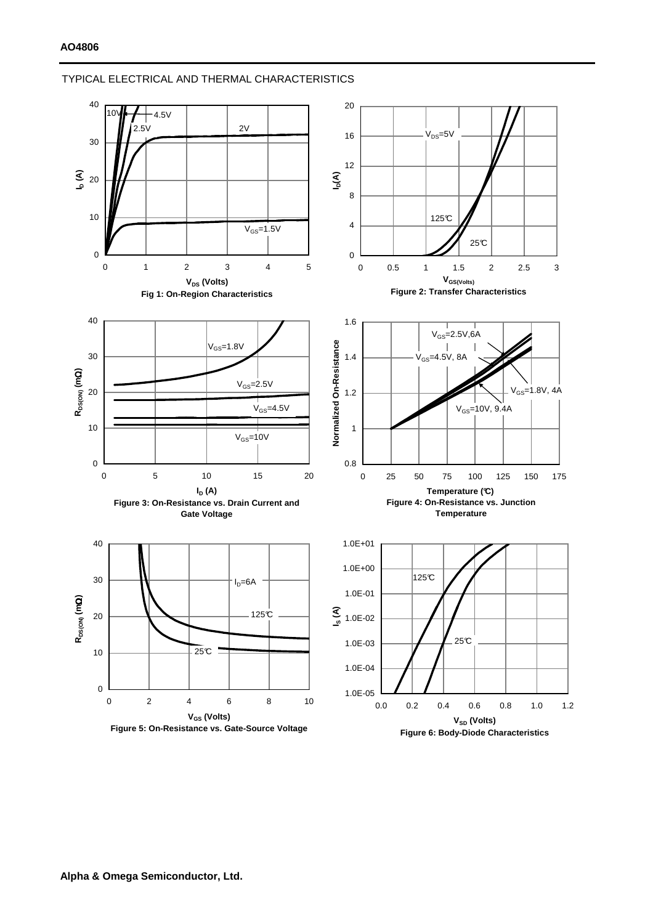## TYPICAL ELECTRICAL AND THERMAL CHARACTERISTICS



**Figure 6: Body-Diode Characteristics**